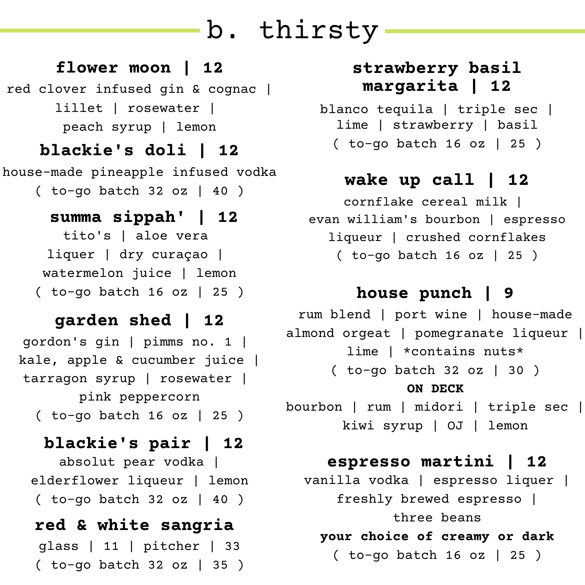# b. thirsty

### **flower moon | 12**

red clover infused gin & cognac | lillet | rosewater | peach syrup | lemon

## **blackie's doli | 12**

house-made pineapple infused vodka ( to-go batch 32 oz | 40 )

# tito's | aloe vera liquer | dry curaçao | watermelon juice | lemon ( to-go batch 16 oz | 25 ) **summa sippah' | 12**

# **garden shed | 12**

gordon's gin | pimms no. 1 | kale, apple & cucumber juice | tarragon syrup | rosewater | pink peppercorn

( to-go batch 16 oz | 25 )

## **blackie's pair | 12**

absolut pear vodka | elderflower liqueur | lemon ( to-go batch 32 oz | 40 )

# **red & white sangria**  glass | 11 | pitcher | 33 ( to-go batch 32 oz | 35 )

# **strawberry basil margarita | 12**

blanco tequila | triple sec | lime | strawberry | basil ( to-go batch 16 oz | 25 )

# **wake up call | 12**

cornflake cereal milk | evan william's bourbon | espresso liqueur | crushed cornflakes ( to-go batch 16 oz | 25 )

# **house punch | 9**

rum blend | port wine | house-made almond orgeat | pomegranate liqueur | lime | \*contains nuts\* ( to-go batch 32 oz | 30 ) **ON DECK**

bourbon | rum | midori | triple sec | kiwi syrup | OJ | lemon

## **espresso martini | 12**

vanilla vodka | espresso liquer | freshly brewed espresso | three beans **your choice of creamy or dark** ( to-go batch 16 oz | 25 )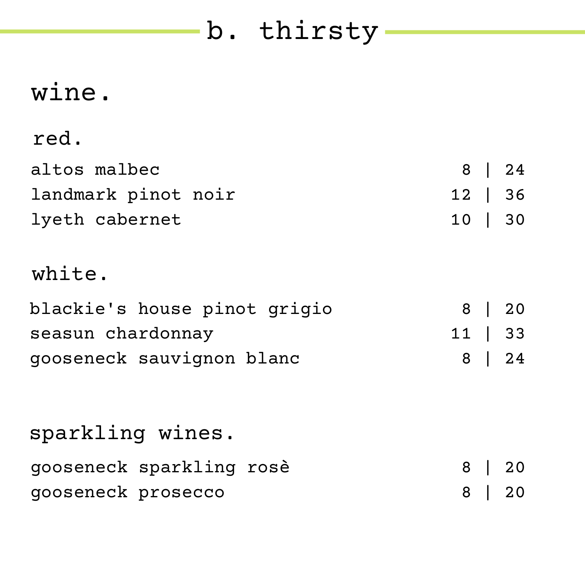# b. thirsty

# wine.

# red.

| altos malbec        |         | 8 24 |
|---------------------|---------|------|
| landmark pinot noir | 12   36 |      |
| lyeth cabernet      | 10   30 |      |

# white.

| blackie's house pinot grigio |           | 8 20 |
|------------------------------|-----------|------|
| seasun chardonnay            | $11$   33 |      |
| gooseneck sauvignon blanc    |           | 8 24 |

| sparkling wines.         |      |
|--------------------------|------|
| gooseneck sparkling rosè | 8 20 |
| gooseneck prosecco       | 8 20 |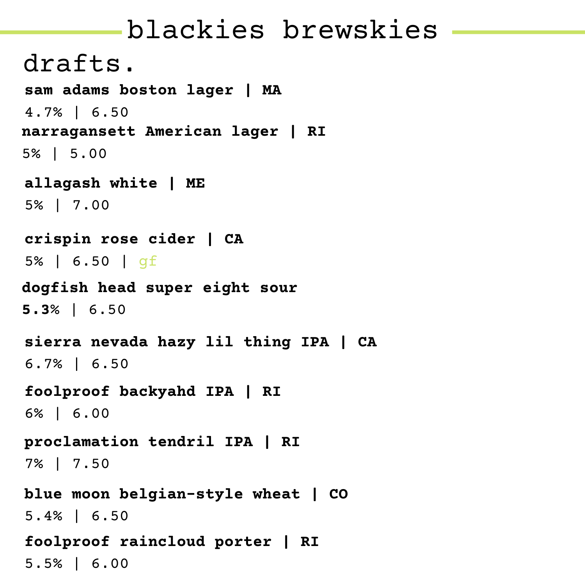# blackies brewskies

**sierra nevada hazy lil thing IPA | CA** 6.7% | 6.50 drafts. **blue moon belgian-style wheat | CO** 5.4% | 6.50 **narragansett American lager | RI** 5% | 5.00 **crispin rose cider | CA** 5% | 6.50 | gf **sam adams boston lager | MA** 4.7% | 6.50 **foolproof raincloud porter | RI** 5.5% | 6.00 **dogfish head super eight sour 5.3**% | 6.50 **foolproof backyahd IPA | RI** 6% | 6.00 **allagash white | ME** 5% | 7.00 **proclamation tendril IPA | RI** 7% | 7.50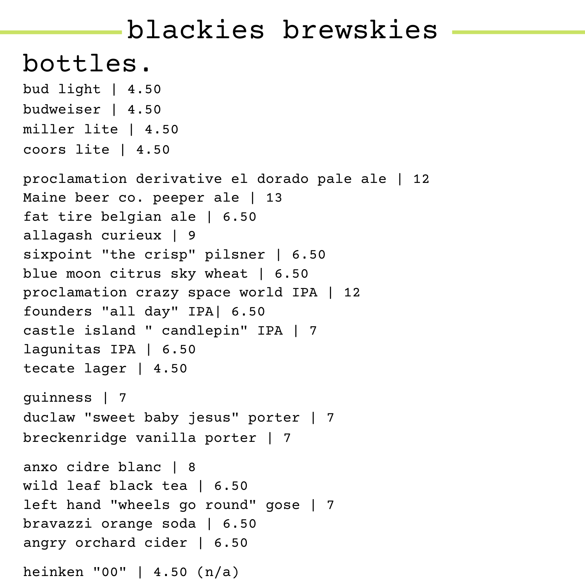# blackies brewskies

# bottles.

```
bud light | 4.50
budweiser | 4.50
miller lite | 4.50
coors lite | 4.50
proclamation derivative el dorado pale ale | 12
Maine beer co. peeper ale | 13
fat tire belgian ale | 6.50
allagash curieux | 9
sixpoint "the crisp" pilsner | 6.50
blue moon citrus sky wheat | 6.50
proclamation crazy space world IPA | 12
founders "all day" IPA| 6.50
castle island " candlepin" IPA | 7
lagunitas IPA | 6.50
tecate lager | 4.50
guinness | 7
duclaw "sweet baby jesus" porter | 7
breckenridge vanilla porter | 7
anxo cidre blanc | 8
wild leaf black tea | 6.50
left hand "wheels go round" gose | 7
bravazzi orange soda | 6.50
angry orchard cider | 6.50
heinken "00" | 4.50 (n/a)
```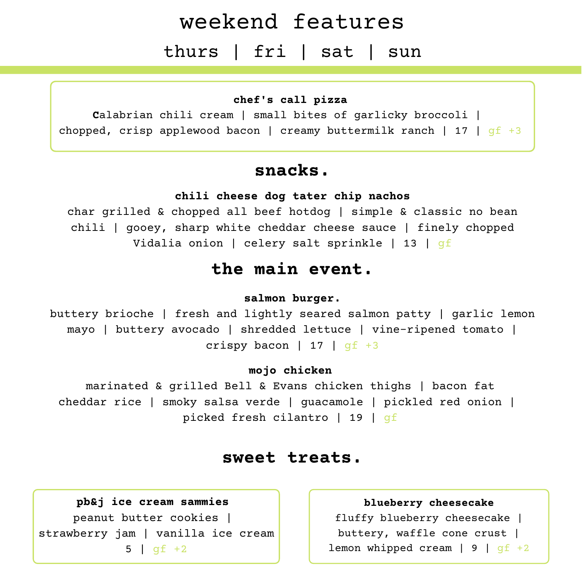# weekend features thurs | fri | sat | sun

#### **chef's call pizza**

**C**alabrian chili cream | small bites of garlicky broccoli | chopped, crisp applewood bacon | creamy buttermilk ranch | 17 |  $qf +3$ 

### **snacks.**

#### **chili cheese dog tater chip nachos**

char grilled & chopped all beef hotdog | simple & classic no bean chili | gooey, sharp white cheddar cheese sauce | finely chopped Vidalia onion | celery salt sprinkle | 13 | gf

## **the main event.**

#### **salmon burger.**

buttery brioche | fresh and lightly seared salmon patty | garlic lemon mayo | buttery avocado | shredded lettuce | vine-ripened tomato | crispy bacon | 17 |  $qf +3$ 

#### **mojo chicken**

marinated & grilled Bell & Evans chicken thighs | bacon fat cheddar rice | smoky salsa verde | guacamole | pickled red onion | picked fresh cilantro | 19 | gf

### **sweet treats.**

**pb&j ice cream sammies** peanut butter cookies | strawberry jam | vanilla ice cream  $5 \mid af + 2$ 

#### **blueberry cheesecake**

fluffy blueberry cheesecake | buttery, waffle cone crust | lemon whipped cream  $\vert 9 \vert qf +2$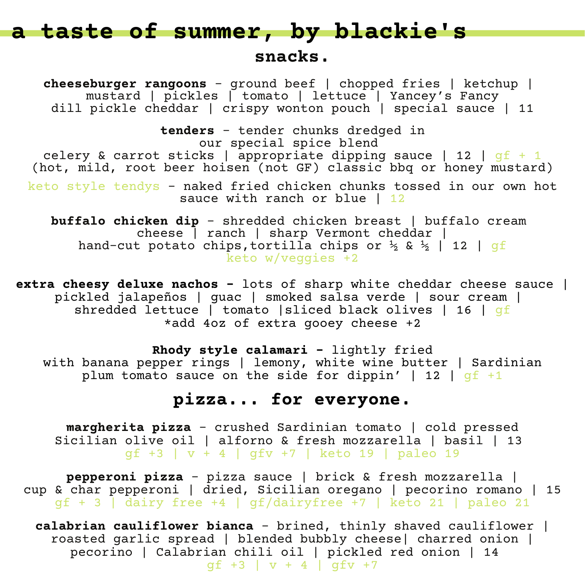### **snacks.**

**cheeseburger rangoons** - ground beef | chopped fries | ketchup | mustard | pickles | tomato | lettuce | Yancey's Fancy dill pickle cheddar | crispy wonton pouch | special sauce | 11

**tenders** - tender chunks dredged in our special spice blend celery & carrot sticks | appropriate dipping sauce | 12 |  $gf + 1$ (hot, mild, root beer hoisen (not GF) classic bbq or honey mustard) keto style tendys - naked fried chicken chunks tossed in our own hot

sauce with ranch or blue | 12

**buffalo chicken dip** - shredded chicken breast | buffalo cream cheese | ranch | sharp Vermont cheddar | hand-cut potato chips, tortilla chips or  $\frac{1}{2}$  &  $\frac{1}{2}$  | 12 | qf keto w/veggies +2

**extra cheesy deluxe nachos -** lots of sharp white cheddar cheese sauce | pickled jalapeños | guac | smoked salsa verde | sour cream | shredded lettuce | tomato | sliced black olives | 16 | gf \*add 4oz of extra gooey cheese +2

**Rhody style calamari -** lightly fried with banana pepper rings | lemony, white wine butter | Sardinian plum tomato sauce on the side for dippin' | 12 |  $gf +1$ 

## **pizza... for everyone.**

**margherita pizza** - crushed Sardinian tomato | cold pressed Sicilian olive oil | alforno & fresh mozzarella | basil | 13 gf +3 | v + 4 | gfv +7 | keto 19 | paleo 19

**pepperoni pizza** - pizza sauce | brick & fresh mozzarella | cup & char pepperoni | dried, Sicilian oregano | pecorino romano | 15 gf + 3 | dairy free +4 | gf/dairyfree +7 | keto 21 | paleo 21

**calabrian cauliflower bianca** - brined, thinly shaved cauliflower | roasted garlic spread | blended bubbly cheese| charred onion | pecorino | Calabrian chili oil | pickled red onion | 14  $qf +3$  |  $v + 4$  |  $qf v +7$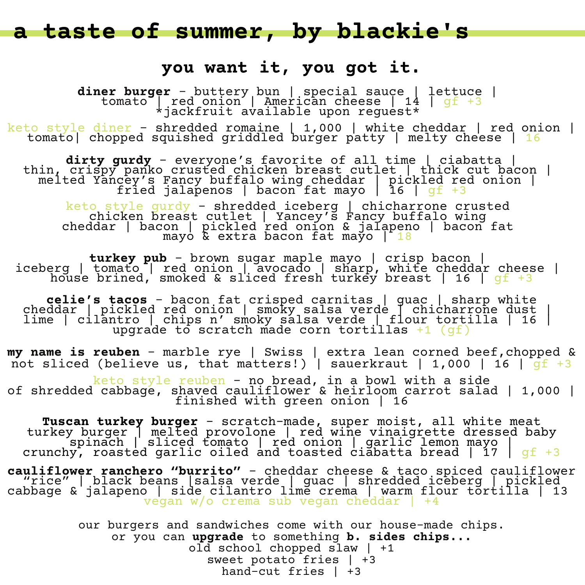### **you want it, you got it.**

**diner burger** - buttery bun | special sauce | lettuce | tomato | red onion | American cheese | 14 | gf +3 \*jackfruit available upon reguest\*

keto style diner - shredded romaine | 1,000 | white cheddar | red onion | tomato| chopped squished griddled burger patty | melty cheese | 16

**dirty gurdy** - everyone's favorite of all time | ciabatta | thin, crispy panko crusted chicken breast cutlet | thick cut bacon | melted Yancey's Fancy buffalo wing cheddar | pickled red onion |  $fried$  jala $\acute{\text{p}}$ enos | bacon $\check{\text{f}}$ at mayo | 16 | g $f$  +3

keto style gurdy - shredded iceberg | chicharrone crusted chicken breast cutlet | Yancey's Fancy buffalo wing cheddar | bacon | pickled red onion & jalapeno | bacon fat mayo  $\&$  extra bacon fat mayo  $\int 18$ 

**turkey pub** - brown sugar maple mayo | crisp bacon | iceberg | tomato | red onion | avocado | sharp, white cheddar cheese | house brined, smoked & sliced fresh turkey breast | 16 | gf +3

**celie's tacos** - bacon fat crisped carnitas | guac | sharp white cheddar | pickled red onion | smoky salsa verde | chicharrone dust | lime | cilantro | chips n' smoky salsa verde | flour tortilla | 16 | upgrade to scratch made corn tortillas  $+1$  (gf)

**my name is reuben** - marble rye | Swiss | extra lean corned beef,chopped & not sliced (believe us, that matters!) | sauerkraut | 1,000 | 16 |  $qf +3$ 

keto style reuben - no bread, in a bowl with a side of shredded cabbage, shaved cauliflower & heirloom carrot salad | 1,000 | finished with green onion | 16

**Tuscan turkey burger** - scratch-made, super moist, all white meat turkey burger | melted provolone | red wine vinaigrette dressed baby spinach | sliced tomato | red onion | garlic lemon mayo | crunchy, roasted garlic oiled and toasted ciabatta bread | 17 |  $\mathsf{gf}$  +3

**cauliflower ranchero "burrito"** - cheddar cheese & taco spiced cauliflower "rice" | black beans |salsa verde | guac | shredded iceberg | pickled cabbage & jalapeno | side cilantro lime crema | warm flour tortilla | 13 vegan w/o crema sub vegan cheddar | +4

> our burgers and sandwiches come with our house-made chips. or you can **upgrade** to something **b. sides chips...** old school chopped slaw | +1 sweet potato fries | +3 hand-cut fries | +3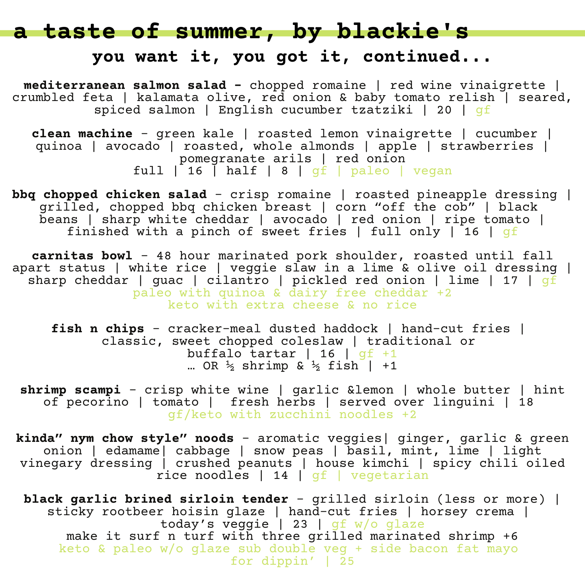### **you want it, you got it, continued...**

**mediterranean salmon salad -** chopped romaine | red wine vinaigrette | crumbled feta | kalamata olive, red onion & baby tomato relish | seared, spiced salmon | English cucumber tzatziki | 20 | gf

**clean machine** - green kale | roasted lemon vinaigrette | cucumber | quinoa | avocado | roasted, whole almonds | apple | strawberries | pomegranate arils | red onion full | 16 | half | 8 | gf | paleo | vegan

**bbq chopped chicken salad** - crisp romaine | roasted pineapple dressing | grilled, chopped bbq chicken breast | corn "off the cob" | black beans | sharp white cheddar | avocado | red onion | ripe tomato | finished with a pinch of sweet fries | full only | 16 | gf

**carnitas bowl** - 48 hour marinated pork shoulder, roasted until fall apart status | white rice | veggie slaw in a lime & olive oil dressing | sharp cheddar | guac | cilantro | pickled red onion | lime | 17 |  $g\bar{f}$ paleo with quinoa & dairy free cheddar +2 keto with extra cheese & no rice

**fish n chips** - cracker-meal dusted haddock | hand-cut fries | classic, sweet chopped coleslaw | traditional or buffalo tartar | 16 |  $gf +1$ ... OR  $\frac{1}{2}$  shrimp &  $\frac{1}{2}$  fish | +1

**shrimp scampi** - crisp white wine | garlic &lemon | whole butter | hint of pecorino | tomato | fresh herbs | served over linguini | 18 gf/keto with zucchini noodles +2

**kinda" nym chow style" noods** - aromatic veggies| ginger, garlic & green onion | edamame| cabbage | snow peas | basil, mint, lime | light vinegary dressing | crushed peanuts | house kimchi | spicy chili oiled rice noodles | 14 | gf | vegetarian

**black garlic brined sirloin tender** - grilled sirloin (less or more) | sticky rootbeer hoisin glaze | hand-cut fries | horsey crema | today's veggie | 23 | gf w/o glaze make it surf n turf with three grilled marinated shrimp +6 keto & paleo w/o glaze sub double veg + side bacon fat mayo for dippin' | 25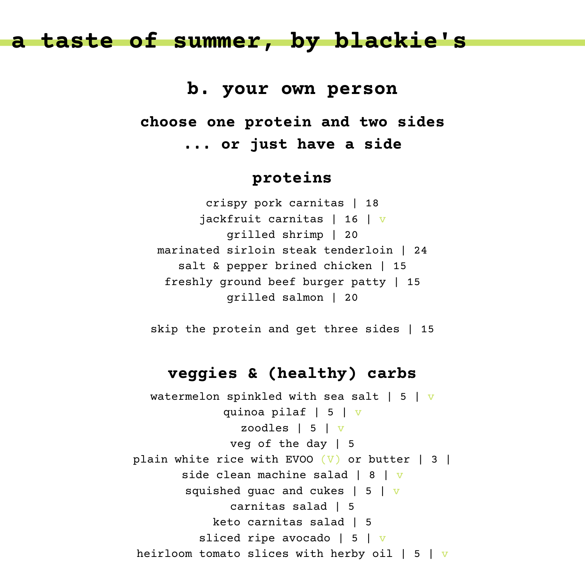**b. your own person**

**choose one protein and two sides ... or just have a side**

### **proteins**

crispy pork carnitas | 18 jackfruit carnitas | 16 | v grilled shrimp | 20 marinated sirloin steak tenderloin | 24 salt & pepper brined chicken | 15 freshly ground beef burger patty | 15 grilled salmon | 20

skip the protein and get three sides | 15

### **veggies & (healthy) carbs**

watermelon spinkled with sea salt  $\vert 5 \vert$  v quinoa pilaf | 5 | v zoodles | 5 | v veg of the day | 5 plain white rice with EVOO  $(V)$  or butter | 3 | side clean machine salad  $| 8 | v$ squished quac and cukes  $\vert 5 \vert v \vert$ carnitas salad | 5 keto carnitas salad | 5 sliced ripe avocado | 5 |  $\overline{v}$ heirloom tomato slices with herby oil  $| 5 | v$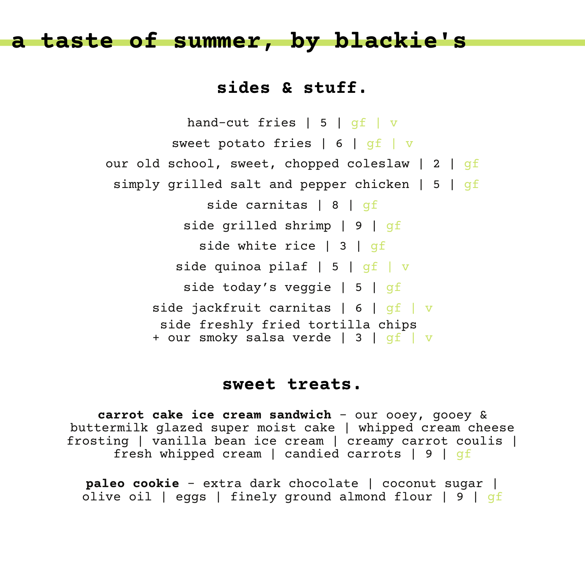## **sides & stuff.**

```
hand-cut fries | 5 | qf | vsweet potato fries | 6 | gf | v
our old school, sweet, chopped coleslaw | 2 | gf
 simply grilled salt and pepper chicken | 5 | qfside carnitas | 8 | gf
          side grilled shrimp | 9 | gf
            side white rice | 3 | qf
         side quinoa pilaf | 5 | qf | v
          side today's veggie | 5 | gf
      side jackfruit carnitas | 6 | qf | v
       side freshly fried tortilla chips
      + our smoky salsa verde | 3 | gf | v
```
#### **sweet treats.**

**carrot cake ice cream sandwich** - our ooey, gooey & buttermilk glazed super moist cake | whipped cream cheese frosting | vanilla bean ice cream | creamy carrot coulis | fresh whipped cream | candied carrots | 9 | gf

**paleo cookie** - extra dark chocolate | coconut sugar | olive oil | eggs | finely ground almond flour | 9 |  $qf$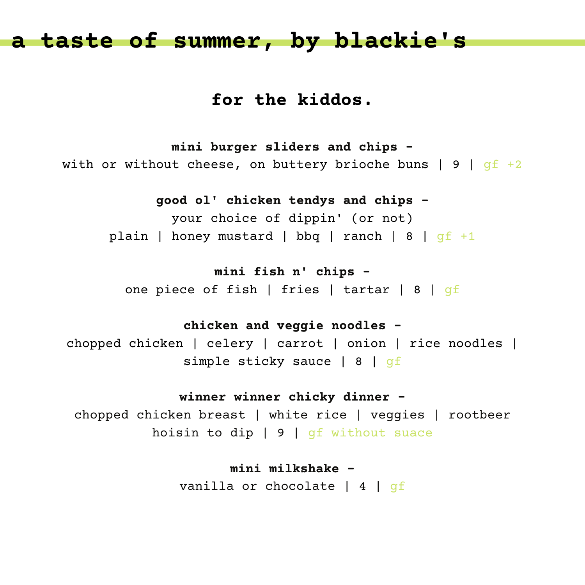## **for the kiddos.**

**mini burger sliders and chips**  with or without cheese, on buttery brioche buns  $|9|$  qf +2

**good ol' chicken tendys and chips -**

your choice of dippin' (or not) plain | honey mustard | bbq | ranch | 8 |  $qf +1$ 

**mini fish n' chips -**

one piece of fish | fries | tartar | 8 | gf

**chicken and veggie noodles -**

chopped chicken | celery | carrot | onion | rice noodles | simple sticky sauce | 8 | qf

#### **winner winner chicky dinner -**

chopped chicken breast | white rice | veggies | rootbeer hoisin to dip | 9 | gf without suace

> **mini milkshake**  vanilla or chocolate | 4 | gf